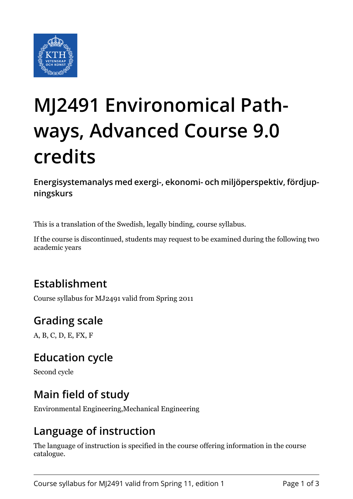

# **MJ2491 Environomical Pathways, Advanced Course 9.0 credits**

**Energisystemanalys med exergi-, ekonomi- och miljöperspektiv, fördjupningskurs**

This is a translation of the Swedish, legally binding, course syllabus.

If the course is discontinued, students may request to be examined during the following two academic years

## **Establishment**

Course syllabus for MJ2491 valid from Spring 2011

# **Grading scale**

A, B, C, D, E, FX, F

## **Education cycle**

Second cycle

## **Main field of study**

Environmental Engineering,Mechanical Engineering

## **Language of instruction**

The language of instruction is specified in the course offering information in the course catalogue.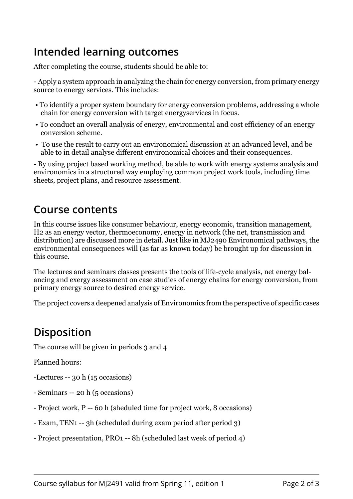## **Intended learning outcomes**

After completing the course, students should be able to:

- Apply a system approach in analyzing the chain for energy conversion, from primary energy source to energy services. This includes:

- To identify a proper system boundary for energy conversion problems, addressing a whole chain for energy conversion with target energyservices in focus.
- To conduct an overall analysis of energy, environmental and cost efficiency of an energy conversion scheme.
- To use the result to carry out an environomical discussion at an advanced level, and be able to in detail analyse different environomical choices and their consequences.

- By using project based working method, be able to work with energy systems analysis and environomics in a structured way employing common project work tools, including time sheets, project plans, and resource assessment.

#### **Course contents**

In this course issues like consumer behaviour, energy economic, transition management, H2 as an energy vector, thermoeconomy, energy in network (the net, transmission and distribution) are discussed more in detail. Just like in MJ2490 Environomical pathways, the environmental consequences will (as far as known today) be brought up for discussion in this course.

The lectures and seminars classes presents the tools of life-cycle analysis, net energy balancing and exergy assessment on case studies of energy chains for energy conversion, from primary energy source to desired energy service.

The project covers a deepened analysis of Environomics from the perspective of specific cases

# **Disposition**

The course will be given in periods 3 and 4

Planned hours:

- -Lectures -- 30 h (15 occasions)
- Seminars -- 20 h (5 occasions)
- Project work, P -- 60 h (sheduled time for project work, 8 occasions)
- Exam, TEN1 -- 3h (scheduled during exam period after period 3)
- Project presentation, PRO1 -- 8h (scheduled last week of period 4)